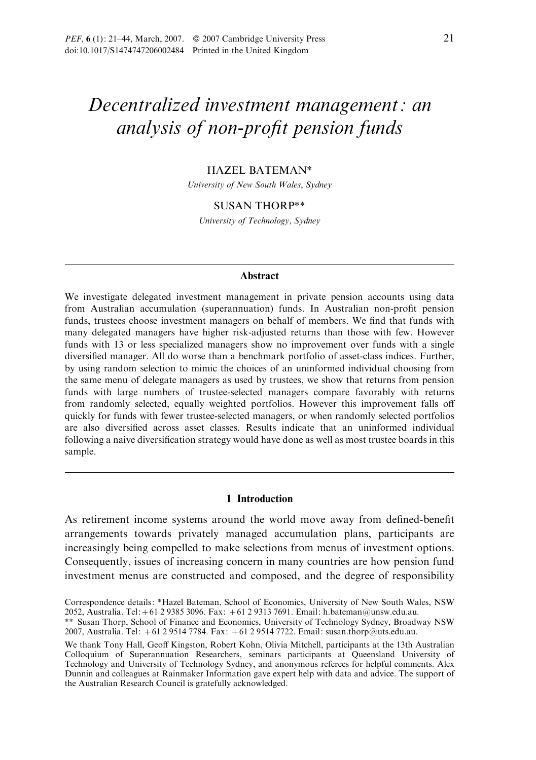# Decentralized investment management : an analysis of non-profit pension funds

# HAZEL BATEMAN\*

University of New South Wales, Sydney

## SUSAN THORP\*\*

University of Technology, Sydney

## Abstract

We investigate delegated investment management in private pension accounts using data from Australian accumulation (superannuation) funds. In Australian non-profit pension funds, trustees choose investment managers on behalf of members. We find that funds with many delegated managers have higher risk-adjusted returns than those with few. However funds with 13 or less specialized managers show no improvement over funds with a single diversified manager. All do worse than a benchmark portfolio of asset-class indices. Further, by using random selection to mimic the choices of an uninformed individual choosing from the same menu of delegate managers as used by trustees, we show that returns from pension funds with large numbers of trustee-selected managers compare favorably with returns from randomly selected, equally weighted portfolios. However this improvement falls off quickly for funds with fewer trustee-selected managers, or when randomly selected portfolios are also diversified across asset classes. Results indicate that an uninformed individual following a naive diversification strategy would have done as well as most trustee boards in this sample.

#### 1 Introduction

As retirement income systems around the world move away from defined-benefit arrangements towards privately managed accumulation plans, participants are increasingly being compelled to make selections from menus of investment options. Consequently, issues of increasing concern in many countries are how pension fund investment menus are constructed and composed, and the degree of responsibility

Correspondence details: \*Hazel Bateman, School of Economics, University of New South Wales, NSW 2052, Australia. Tel:+61 2 9385 3096. Fax: +61 2 9313 7691. Email: h.bateman@unsw.edu.au.

<sup>\*\*</sup> Susan Thorp, School of Finance and Economics, University of Technology Sydney, Broadway NSW 2007, Australia. Tel: +61 2 9514 7784. Fax: +61 2 9514 7722. Email: susan.thorp@uts.edu.au.

We thank Tony Hall, Geoff Kingston, Robert Kohn, Olivia Mitchell, participants at the 13th Australian Colloquium of Superannuation Researchers, seminars participants at Queensland University of Technology and University of Technology Sydney, and anonymous referees for helpful comments. Alex Dunnin and colleagues at Rainmaker Information gave expert help with data and advice. The support of the Australian Research Council is gratefully acknowledged.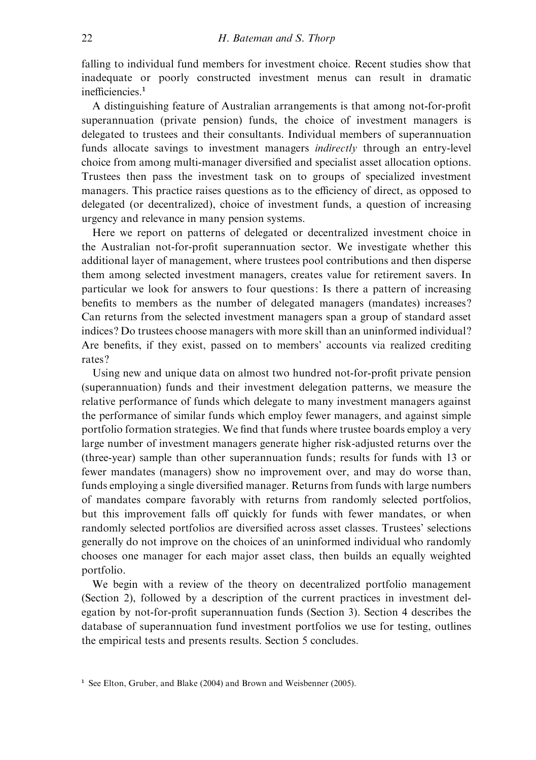falling to individual fund members for investment choice. Recent studies show that inadequate or poorly constructed investment menus can result in dramatic inefficiencies.<sup>1</sup>

A distinguishing feature of Australian arrangements is that among not-for-profit superannuation (private pension) funds, the choice of investment managers is delegated to trustees and their consultants. Individual members of superannuation funds allocate savings to investment managers indirectly through an entry-level choice from among multi-manager diversified and specialist asset allocation options. Trustees then pass the investment task on to groups of specialized investment managers. This practice raises questions as to the efficiency of direct, as opposed to delegated (or decentralized), choice of investment funds, a question of increasing urgency and relevance in many pension systems.

Here we report on patterns of delegated or decentralized investment choice in the Australian not-for-profit superannuation sector. We investigate whether this additional layer of management, where trustees pool contributions and then disperse them among selected investment managers, creates value for retirement savers. In particular we look for answers to four questions: Is there a pattern of increasing benefits to members as the number of delegated managers (mandates) increases ? Can returns from the selected investment managers span a group of standard asset indices ? Do trustees choose managers with more skill than an uninformed individual ? Are benefits, if they exist, passed on to members' accounts via realized crediting rates ?

Using new and unique data on almost two hundred not-for-profit private pension (superannuation) funds and their investment delegation patterns, we measure the relative performance of funds which delegate to many investment managers against the performance of similar funds which employ fewer managers, and against simple portfolio formation strategies. We find that funds where trustee boards employ a very large number of investment managers generate higher risk-adjusted returns over the (three-year) sample than other superannuation funds; results for funds with 13 or fewer mandates (managers) show no improvement over, and may do worse than, funds employing a single diversified manager. Returns from funds with large numbers of mandates compare favorably with returns from randomly selected portfolios, but this improvement falls off quickly for funds with fewer mandates, or when randomly selected portfolios are diversified across asset classes. Trustees' selections generally do not improve on the choices of an uninformed individual who randomly chooses one manager for each major asset class, then builds an equally weighted portfolio.

We begin with a review of the theory on decentralized portfolio management (Section 2), followed by a description of the current practices in investment delegation by not-for-profit superannuation funds (Section 3). Section 4 describes the database of superannuation fund investment portfolios we use for testing, outlines the empirical tests and presents results. Section 5 concludes.

<sup>&</sup>lt;sup>1</sup> See Elton, Gruber, and Blake (2004) and Brown and Weisbenner (2005).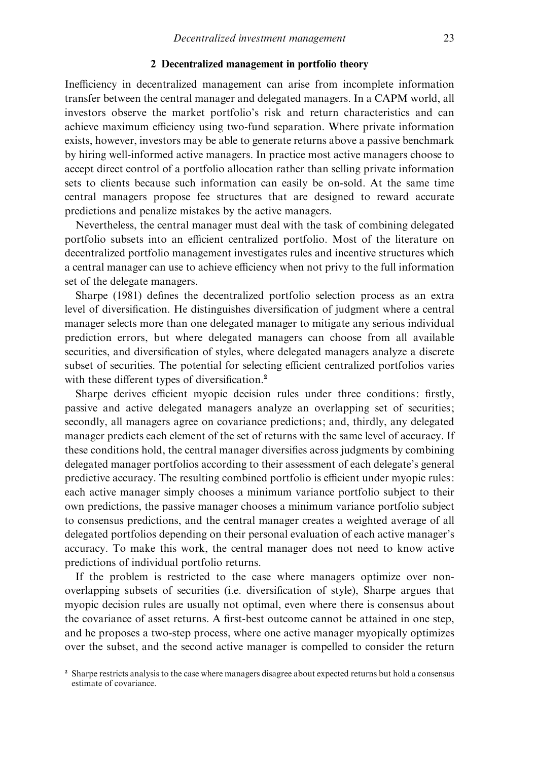## 2 Decentralized management in portfolio theory

Inefficiency in decentralized management can arise from incomplete information transfer between the central manager and delegated managers. In a CAPM world, all investors observe the market portfolio's risk and return characteristics and can achieve maximum efficiency using two-fund separation. Where private information exists, however, investors may be able to generate returns above a passive benchmark by hiring well-informed active managers. In practice most active managers choose to accept direct control of a portfolio allocation rather than selling private information sets to clients because such information can easily be on-sold. At the same time central managers propose fee structures that are designed to reward accurate predictions and penalize mistakes by the active managers.

Nevertheless, the central manager must deal with the task of combining delegated portfolio subsets into an efficient centralized portfolio. Most of the literature on decentralized portfolio management investigates rules and incentive structures which a central manager can use to achieve efficiency when not privy to the full information set of the delegate managers.

Sharpe (1981) defines the decentralized portfolio selection process as an extra level of diversification. He distinguishes diversification of judgment where a central manager selects more than one delegated manager to mitigate any serious individual prediction errors, but where delegated managers can choose from all available securities, and diversification of styles, where delegated managers analyze a discrete subset of securities. The potential for selecting efficient centralized portfolios varies with these different types of diversification.<sup>2</sup>

Sharpe derives efficient myopic decision rules under three conditions: firstly, passive and active delegated managers analyze an overlapping set of securities; secondly, all managers agree on covariance predictions; and, thirdly, any delegated manager predicts each element of the set of returns with the same level of accuracy. If these conditions hold, the central manager diversifies across judgments by combining delegated manager portfolios according to their assessment of each delegate's general predictive accuracy. The resulting combined portfolio is efficient under myopic rules: each active manager simply chooses a minimum variance portfolio subject to their own predictions, the passive manager chooses a minimum variance portfolio subject to consensus predictions, and the central manager creates a weighted average of all delegated portfolios depending on their personal evaluation of each active manager's accuracy. To make this work, the central manager does not need to know active predictions of individual portfolio returns.

If the problem is restricted to the case where managers optimize over nonoverlapping subsets of securities (i.e. diversification of style), Sharpe argues that myopic decision rules are usually not optimal, even where there is consensus about the covariance of asset returns. A first-best outcome cannot be attained in one step, and he proposes a two-step process, where one active manager myopically optimizes over the subset, and the second active manager is compelled to consider the return

<sup>&</sup>lt;sup>2</sup> Sharpe restricts analysis to the case where managers disagree about expected returns but hold a consensus estimate of covariance.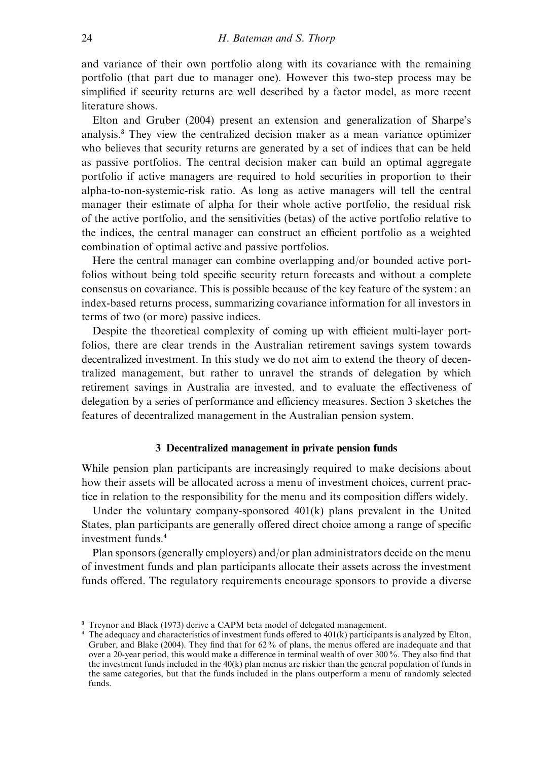and variance of their own portfolio along with its covariance with the remaining portfolio (that part due to manager one). However this two-step process may be simplified if security returns are well described by a factor model, as more recent literature shows.

Elton and Gruber (2004) present an extension and generalization of Sharpe's analysis.<sup>3</sup> They view the centralized decision maker as a mean–variance optimizer who believes that security returns are generated by a set of indices that can be held as passive portfolios. The central decision maker can build an optimal aggregate portfolio if active managers are required to hold securities in proportion to their alpha-to-non-systemic-risk ratio. As long as active managers will tell the central manager their estimate of alpha for their whole active portfolio, the residual risk of the active portfolio, and the sensitivities (betas) of the active portfolio relative to the indices, the central manager can construct an efficient portfolio as a weighted combination of optimal active and passive portfolios.

Here the central manager can combine overlapping and/or bounded active portfolios without being told specific security return forecasts and without a complete consensus on covariance. This is possible because of the key feature of the system: an index-based returns process, summarizing covariance information for all investors in terms of two (or more) passive indices.

Despite the theoretical complexity of coming up with efficient multi-layer portfolios, there are clear trends in the Australian retirement savings system towards decentralized investment. In this study we do not aim to extend the theory of decentralized management, but rather to unravel the strands of delegation by which retirement savings in Australia are invested, and to evaluate the effectiveness of delegation by a series of performance and efficiency measures. Section 3 sketches the features of decentralized management in the Australian pension system.

## 3 Decentralized management in private pension funds

While pension plan participants are increasingly required to make decisions about how their assets will be allocated across a menu of investment choices, current practice in relation to the responsibility for the menu and its composition differs widely.

Under the voluntary company-sponsored  $401(k)$  plans prevalent in the United States, plan participants are generally offered direct choice among a range of specific investment funds.<sup>4</sup>

Plan sponsors (generally employers) and/or plan administrators decide on the menu of investment funds and plan participants allocate their assets across the investment funds offered. The regulatory requirements encourage sponsors to provide a diverse

<sup>3</sup> Treynor and Black (1973) derive a CAPM beta model of delegated management.

<sup>4</sup> The adequacy and characteristics of investment funds offered to 401(k) participants is analyzed by Elton, Gruber, and Blake (2004). They find that for 62% of plans, the menus offered are inadequate and that over a 20-year period, this would make a difference in terminal wealth of over 300%. They also find that the investment funds included in the  $40(k)$  plan menus are riskier than the general population of funds in the same categories, but that the funds included in the plans outperform a menu of randomly selected funds.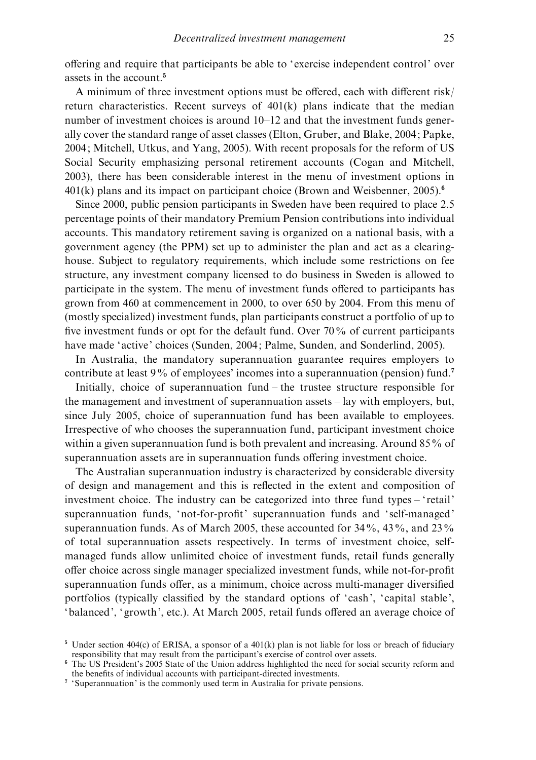offering and require that participants be able to 'exercise independent control' over assets in the account.<sup>5</sup>

A minimum of three investment options must be offered, each with different risk/ return characteristics. Recent surveys of 401(k) plans indicate that the median number of investment choices is around 10–12 and that the investment funds generally cover the standard range of asset classes (Elton, Gruber, and Blake, 2004; Papke, 2004; Mitchell, Utkus, and Yang, 2005). With recent proposals for the reform of US Social Security emphasizing personal retirement accounts (Cogan and Mitchell, 2003), there has been considerable interest in the menu of investment options in  $401(k)$  plans and its impact on participant choice (Brown and Weisbenner, 2005).<sup>6</sup>

Since 2000, public pension participants in Sweden have been required to place 2.5 percentage points of their mandatory Premium Pension contributions into individual accounts. This mandatory retirement saving is organized on a national basis, with a government agency (the PPM) set up to administer the plan and act as a clearinghouse. Subject to regulatory requirements, which include some restrictions on fee structure, any investment company licensed to do business in Sweden is allowed to participate in the system. The menu of investment funds offered to participants has grown from 460 at commencement in 2000, to over 650 by 2004. From this menu of (mostly specialized) investment funds, plan participants construct a portfolio of up to five investment funds or opt for the default fund. Over 70% of current participants have made 'active' choices (Sunden, 2004; Palme, Sunden, and Sonderlind, 2005).

In Australia, the mandatory superannuation guarantee requires employers to contribute at least 9% of employees' incomes into a superannuation (pension) fund.<sup>7</sup>

Initially, choice of superannuation fund – the trustee structure responsible for the management and investment of superannuation assets – lay with employers, but, since July 2005, choice of superannuation fund has been available to employees. Irrespective of who chooses the superannuation fund, participant investment choice within a given superannuation fund is both prevalent and increasing. Around 85% of superannuation assets are in superannuation funds offering investment choice.

The Australian superannuation industry is characterized by considerable diversity of design and management and this is reflected in the extent and composition of investment choice. The industry can be categorized into three fund types – ' retail' superannuation funds, 'not-for-profit' superannuation funds and ' self-managed' superannuation funds. As of March 2005, these accounted for 34%, 43%, and 23% of total superannuation assets respectively. In terms of investment choice, selfmanaged funds allow unlimited choice of investment funds, retail funds generally offer choice across single manager specialized investment funds, while not-for-profit superannuation funds offer, as a minimum, choice across multi-manager diversified portfolios (typically classified by the standard options of 'cash', 'capital stable', 'balanced', 'growth', etc.). At March 2005, retail funds offered an average choice of

<sup>&</sup>lt;sup>5</sup> Under section 404(c) of ERISA, a sponsor of a 401(k) plan is not liable for loss or breach of fiduciary responsibility that may result from the participant's exercise of control over assets.

<sup>&</sup>lt;sup>6</sup> The US President's 2005 State of the Union address highlighted the need for social security reform and the benefits of individual accounts with participant-directed investments.

<sup>7</sup> 'Superannuation' is the commonly used term in Australia for private pensions.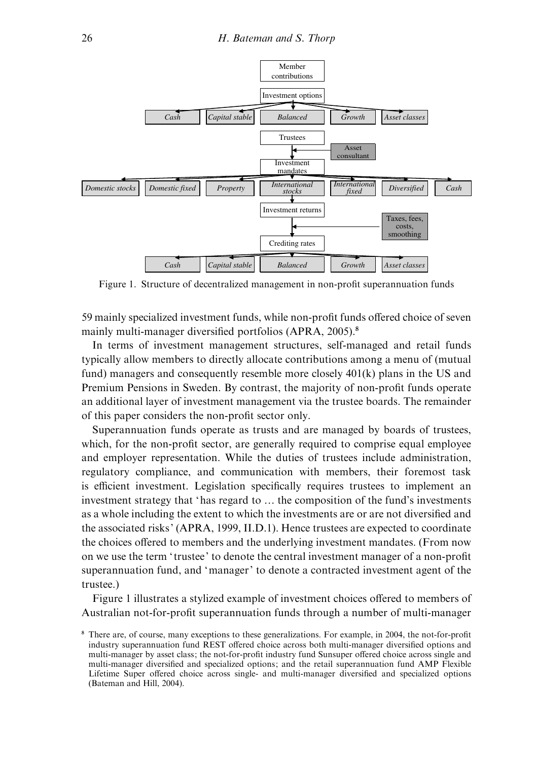

Figure 1. Structure of decentralized management in non-profit superannuation funds

59 mainly specialized investment funds, while non-profit funds offered choice of seven mainly multi-manager diversified portfolios (APRA, 2005).<sup>8</sup>

In terms of investment management structures, self-managed and retail funds typically allow members to directly allocate contributions among a menu of (mutual fund) managers and consequently resemble more closely 401(k) plans in the US and Premium Pensions in Sweden. By contrast, the majority of non-profit funds operate an additional layer of investment management via the trustee boards. The remainder of this paper considers the non-profit sector only.

Superannuation funds operate as trusts and are managed by boards of trustees, which, for the non-profit sector, are generally required to comprise equal employee and employer representation. While the duties of trustees include administration, regulatory compliance, and communication with members, their foremost task is efficient investment. Legislation specifically requires trustees to implement an investment strategy that 'has regard to … the composition of the fund's investments as a whole including the extent to which the investments are or are not diversified and the associated risks' (APRA, 1999, II.D.1). Hence trustees are expected to coordinate the choices offered to members and the underlying investment mandates. (From now on we use the term ' trustee' to denote the central investment manager of a non-profit superannuation fund, and 'manager' to denote a contracted investment agent of the trustee.)

Figure 1 illustrates a stylized example of investment choices offered to members of Australian not-for-profit superannuation funds through a number of multi-manager

<sup>8</sup> There are, of course, many exceptions to these generalizations. For example, in 2004, the not-for-profit industry superannuation fund REST offered choice across both multi-manager diversified options and multi-manager by asset class; the not-for-profit industry fund Sunsuper offered choice across single and multi-manager diversified and specialized options; and the retail superannuation fund AMP Flexible Lifetime Super offered choice across single- and multi-manager diversified and specialized options (Bateman and Hill, 2004).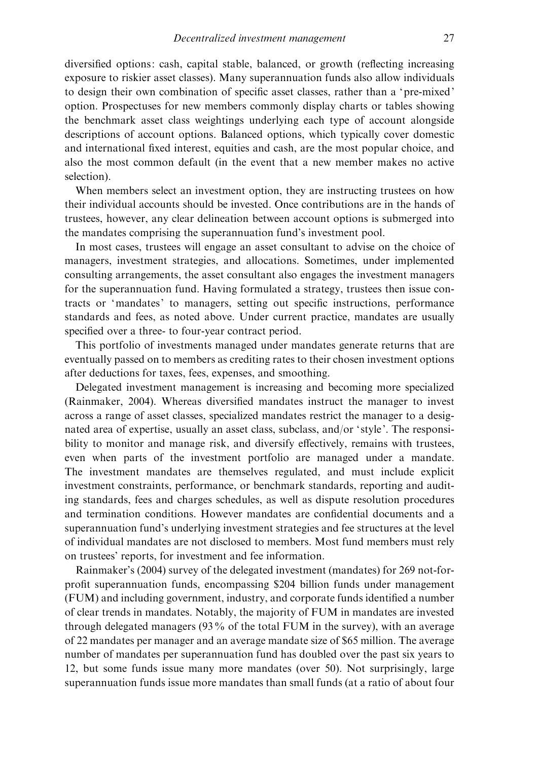diversified options: cash, capital stable, balanced, or growth (reflecting increasing exposure to riskier asset classes). Many superannuation funds also allow individuals to design their own combination of specific asset classes, rather than a 'pre-mixed' option. Prospectuses for new members commonly display charts or tables showing the benchmark asset class weightings underlying each type of account alongside descriptions of account options. Balanced options, which typically cover domestic and international fixed interest, equities and cash, are the most popular choice, and also the most common default (in the event that a new member makes no active selection).

When members select an investment option, they are instructing trustees on how their individual accounts should be invested. Once contributions are in the hands of trustees, however, any clear delineation between account options is submerged into the mandates comprising the superannuation fund's investment pool.

In most cases, trustees will engage an asset consultant to advise on the choice of managers, investment strategies, and allocations. Sometimes, under implemented consulting arrangements, the asset consultant also engages the investment managers for the superannuation fund. Having formulated a strategy, trustees then issue contracts or 'mandates' to managers, setting out specific instructions, performance standards and fees, as noted above. Under current practice, mandates are usually specified over a three- to four-year contract period.

This portfolio of investments managed under mandates generate returns that are eventually passed on to members as crediting rates to their chosen investment options after deductions for taxes, fees, expenses, and smoothing.

Delegated investment management is increasing and becoming more specialized (Rainmaker, 2004). Whereas diversified mandates instruct the manager to invest across a range of asset classes, specialized mandates restrict the manager to a designated area of expertise, usually an asset class, subclass, and/or ' style'. The responsibility to monitor and manage risk, and diversify effectively, remains with trustees, even when parts of the investment portfolio are managed under a mandate. The investment mandates are themselves regulated, and must include explicit investment constraints, performance, or benchmark standards, reporting and auditing standards, fees and charges schedules, as well as dispute resolution procedures and termination conditions. However mandates are confidential documents and a superannuation fund's underlying investment strategies and fee structures at the level of individual mandates are not disclosed to members. Most fund members must rely on trustees' reports, for investment and fee information.

Rainmaker's (2004) survey of the delegated investment (mandates) for 269 not-forprofit superannuation funds, encompassing \$204 billion funds under management (FUM) and including government, industry, and corporate funds identified a number of clear trends in mandates. Notably, the majority of FUM in mandates are invested through delegated managers (93% of the total FUM in the survey), with an average of 22 mandates per manager and an average mandate size of \$65 million. The average number of mandates per superannuation fund has doubled over the past six years to 12, but some funds issue many more mandates (over 50). Not surprisingly, large superannuation funds issue more mandates than small funds (at a ratio of about four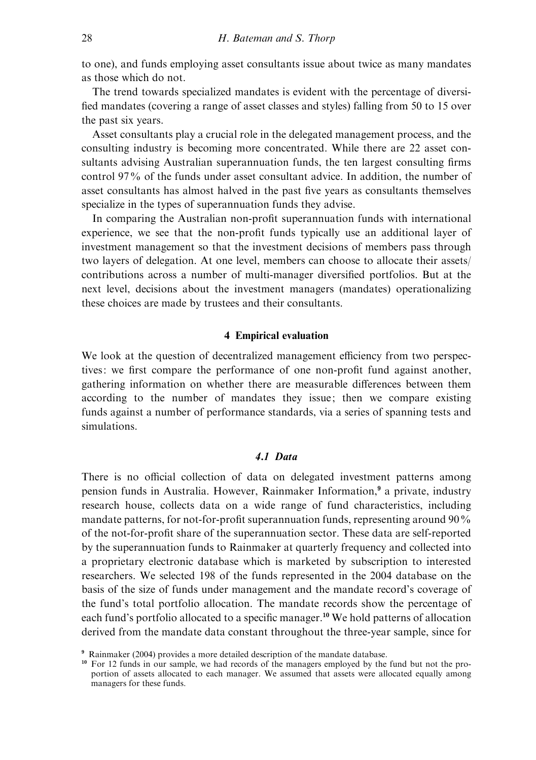to one), and funds employing asset consultants issue about twice as many mandates as those which do not.

The trend towards specialized mandates is evident with the percentage of diversified mandates (covering a range of asset classes and styles) falling from 50 to 15 over the past six years.

Asset consultants play a crucial role in the delegated management process, and the consulting industry is becoming more concentrated. While there are 22 asset consultants advising Australian superannuation funds, the ten largest consulting firms control 97% of the funds under asset consultant advice. In addition, the number of asset consultants has almost halved in the past five years as consultants themselves specialize in the types of superannuation funds they advise.

In comparing the Australian non-profit superannuation funds with international experience, we see that the non-profit funds typically use an additional layer of investment management so that the investment decisions of members pass through two layers of delegation. At one level, members can choose to allocate their assets/ contributions across a number of multi-manager diversified portfolios. But at the next level, decisions about the investment managers (mandates) operationalizing these choices are made by trustees and their consultants.

## 4 Empirical evaluation

We look at the question of decentralized management efficiency from two perspectives: we first compare the performance of one non-profit fund against another, gathering information on whether there are measurable differences between them according to the number of mandates they issue; then we compare existing funds against a number of performance standards, via a series of spanning tests and simulations.

# 4.1 Data

There is no official collection of data on delegated investment patterns among pension funds in Australia. However, Rainmaker Information,<sup>9</sup> a private, industry research house, collects data on a wide range of fund characteristics, including mandate patterns, for not-for-profit superannuation funds, representing around 90% of the not-for-profit share of the superannuation sector. These data are self-reported by the superannuation funds to Rainmaker at quarterly frequency and collected into a proprietary electronic database which is marketed by subscription to interested researchers. We selected 198 of the funds represented in the 2004 database on the basis of the size of funds under management and the mandate record's coverage of the fund's total portfolio allocation. The mandate records show the percentage of each fund's portfolio allocated to a specific manager.<sup>10</sup> We hold patterns of allocation derived from the mandate data constant throughout the three-year sample, since for

<sup>9</sup> Rainmaker (2004) provides a more detailed description of the mandate database.

<sup>&</sup>lt;sup>10</sup> For 12 funds in our sample, we had records of the managers employed by the fund but not the proportion of assets allocated to each manager. We assumed that assets were allocated equally among managers for these funds.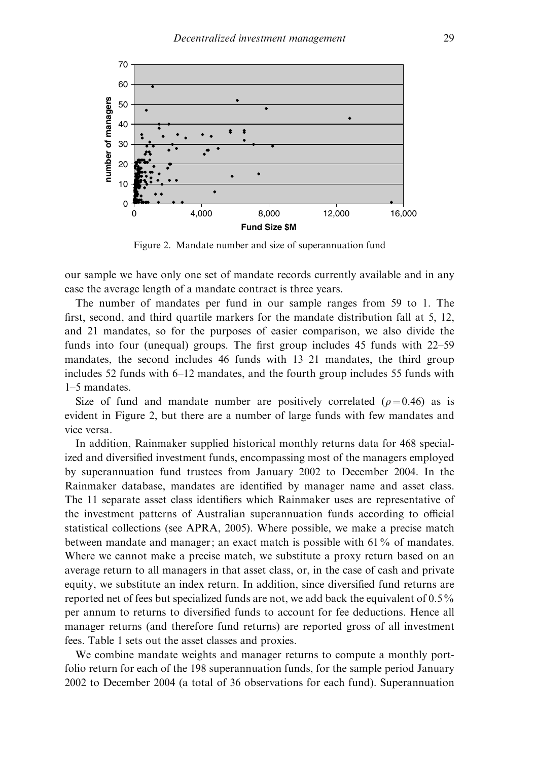

Figure 2. Mandate number and size of superannuation fund

our sample we have only one set of mandate records currently available and in any case the average length of a mandate contract is three years.

The number of mandates per fund in our sample ranges from 59 to 1. The first, second, and third quartile markers for the mandate distribution fall at 5, 12, and 21 mandates, so for the purposes of easier comparison, we also divide the funds into four (unequal) groups. The first group includes 45 funds with 22–59 mandates, the second includes 46 funds with 13–21 mandates, the third group includes 52 funds with 6–12 mandates, and the fourth group includes 55 funds with 1–5 mandates.

Size of fund and mandate number are positively correlated  $(\rho = 0.46)$  as is evident in Figure 2, but there are a number of large funds with few mandates and vice versa.

In addition, Rainmaker supplied historical monthly returns data for 468 specialized and diversified investment funds, encompassing most of the managers employed by superannuation fund trustees from January 2002 to December 2004. In the Rainmaker database, mandates are identified by manager name and asset class. The 11 separate asset class identifiers which Rainmaker uses are representative of the investment patterns of Australian superannuation funds according to official statistical collections (see APRA, 2005). Where possible, we make a precise match between mandate and manager; an exact match is possible with 61% of mandates. Where we cannot make a precise match, we substitute a proxy return based on an average return to all managers in that asset class, or, in the case of cash and private equity, we substitute an index return. In addition, since diversified fund returns are reported net of fees but specialized funds are not, we add back the equivalent of 0.5% per annum to returns to diversified funds to account for fee deductions. Hence all manager returns (and therefore fund returns) are reported gross of all investment fees. Table 1 sets out the asset classes and proxies.

We combine mandate weights and manager returns to compute a monthly portfolio return for each of the 198 superannuation funds, for the sample period January 2002 to December 2004 (a total of 36 observations for each fund). Superannuation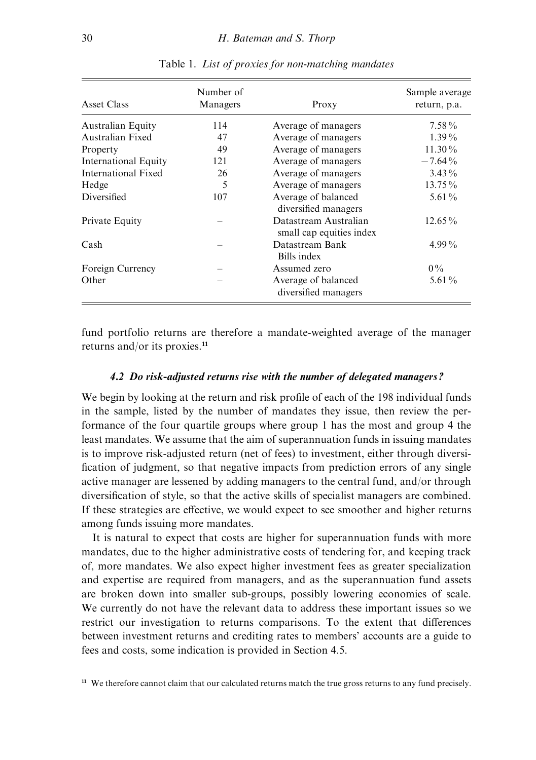| Asset Class              | Number of<br>Managers | Proxy                                             | Sample average<br>return, p.a. |
|--------------------------|-----------------------|---------------------------------------------------|--------------------------------|
| <b>Australian Equity</b> | 114                   | Average of managers                               | $7.58\%$                       |
| Australian Fixed         | 47                    | Average of managers                               | $1.39\%$                       |
| Property                 | 49                    | Average of managers                               | $11.30\%$                      |
| International Equity     | 121                   | Average of managers                               | $-7.64\%$                      |
| International Fixed      | 26                    | Average of managers                               | $3.43\%$                       |
| Hedge                    | 5                     | Average of managers                               | $13.75\%$                      |
| Diversified              | 107                   | Average of balanced<br>diversified managers       | 5.61 $\%$                      |
| Private Equity           |                       | Datastream Australian<br>small cap equities index | $12.65\%$                      |
| Cash                     |                       | Datastream Bank<br>Bills index                    | $4.99\%$                       |
| Foreign Currency         |                       | Assumed zero                                      | $0\%$                          |
| Other                    |                       | Average of balanced<br>diversified managers       | $5.61\%$                       |

Table 1. List of proxies for non-matching mandates

fund portfolio returns are therefore a mandate-weighted average of the manager returns and/or its proxies.<sup>11</sup>

## 4.2 Do risk-adjusted returns rise with the number of delegated managers?

We begin by looking at the return and risk profile of each of the 198 individual funds in the sample, listed by the number of mandates they issue, then review the performance of the four quartile groups where group 1 has the most and group 4 the least mandates. We assume that the aim of superannuation funds in issuing mandates is to improve risk-adjusted return (net of fees) to investment, either through diversification of judgment, so that negative impacts from prediction errors of any single active manager are lessened by adding managers to the central fund, and/or through diversification of style, so that the active skills of specialist managers are combined. If these strategies are effective, we would expect to see smoother and higher returns among funds issuing more mandates.

It is natural to expect that costs are higher for superannuation funds with more mandates, due to the higher administrative costs of tendering for, and keeping track of, more mandates. We also expect higher investment fees as greater specialization and expertise are required from managers, and as the superannuation fund assets are broken down into smaller sub-groups, possibly lowering economies of scale. We currently do not have the relevant data to address these important issues so we restrict our investigation to returns comparisons. To the extent that differences between investment returns and crediting rates to members' accounts are a guide to fees and costs, some indication is provided in Section 4.5.

<sup>11</sup> We therefore cannot claim that our calculated returns match the true gross returns to any fund precisely.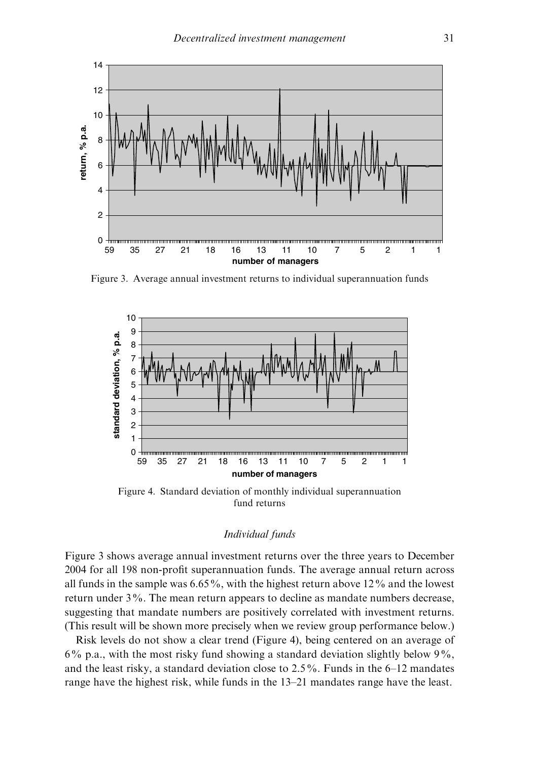

Figure 3. Average annual investment returns to individual superannuation funds



Figure 4. Standard deviation of monthly individual superannuation fund returns

#### Individual funds

Figure 3 shows average annual investment returns over the three years to December 2004 for all 198 non-profit superannuation funds. The average annual return across all funds in the sample was 6.65%, with the highest return above 12% and the lowest return under 3%. The mean return appears to decline as mandate numbers decrease, suggesting that mandate numbers are positively correlated with investment returns. (This result will be shown more precisely when we review group performance below.)

Risk levels do not show a clear trend (Figure 4), being centered on an average of 6% p.a., with the most risky fund showing a standard deviation slightly below 9%, and the least risky, a standard deviation close to 2.5%. Funds in the 6–12 mandates range have the highest risk, while funds in the 13–21 mandates range have the least.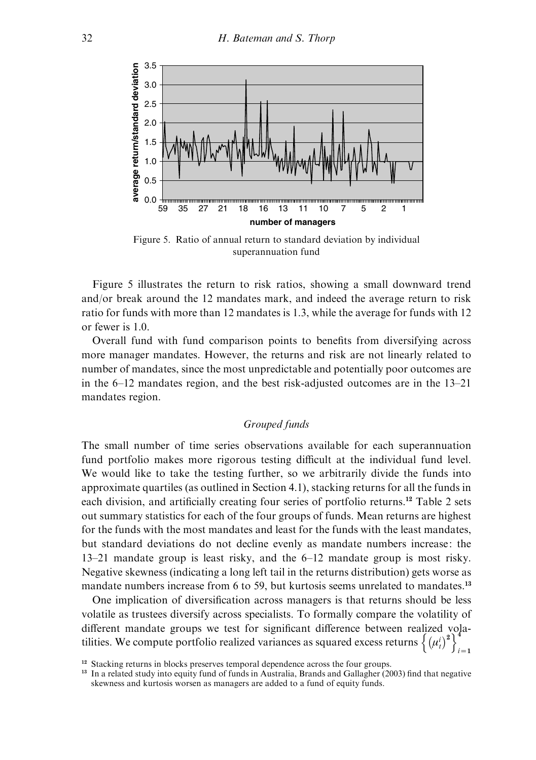

Figure 5. Ratio of annual return to standard deviation by individual superannuation fund

Figure 5 illustrates the return to risk ratios, showing a small downward trend and/or break around the 12 mandates mark, and indeed the average return to risk ratio for funds with more than 12 mandates is 1.3, while the average for funds with 12 or fewer is 1.0.

Overall fund with fund comparison points to benefits from diversifying across more manager mandates. However, the returns and risk are not linearly related to number of mandates, since the most unpredictable and potentially poor outcomes are in the 6–12 mandates region, and the best risk-adjusted outcomes are in the 13–21 mandates region.

## Grouped funds

The small number of time series observations available for each superannuation fund portfolio makes more rigorous testing difficult at the individual fund level. We would like to take the testing further, so we arbitrarily divide the funds into approximate quartiles (as outlined in Section 4.1), stacking returns for all the funds in each division, and artificially creating four series of portfolio returns.<sup>12</sup> Table 2 sets out summary statistics for each of the four groups of funds. Mean returns are highest for the funds with the most mandates and least for the funds with the least mandates, but standard deviations do not decline evenly as mandate numbers increase: the 13–21 mandate group is least risky, and the 6–12 mandate group is most risky. Negative skewness (indicating a long left tail in the returns distribution) gets worse as mandate numbers increase from 6 to 59, but kurtosis seems unrelated to mandates.<sup>13</sup>

One implication of diversification across managers is that returns should be less volatile as trustees diversify across specialists. To formally compare the volatility of different mandate groups we test for significant difference between realized volatilities. We compute portfolio realized variances as squared excess returns  $\left\{\left(\mu_i^i\right)^2\right\}$  $i=1$ 

<sup>&</sup>lt;sup>12</sup> Stacking returns in blocks preserves temporal dependence across the four groups.

<sup>&</sup>lt;sup>13</sup> In a related study into equity fund of funds in Australia, Brands and Gallagher (2003) find that negative skewness and kurtosis worsen as managers are added to a fund of equity funds.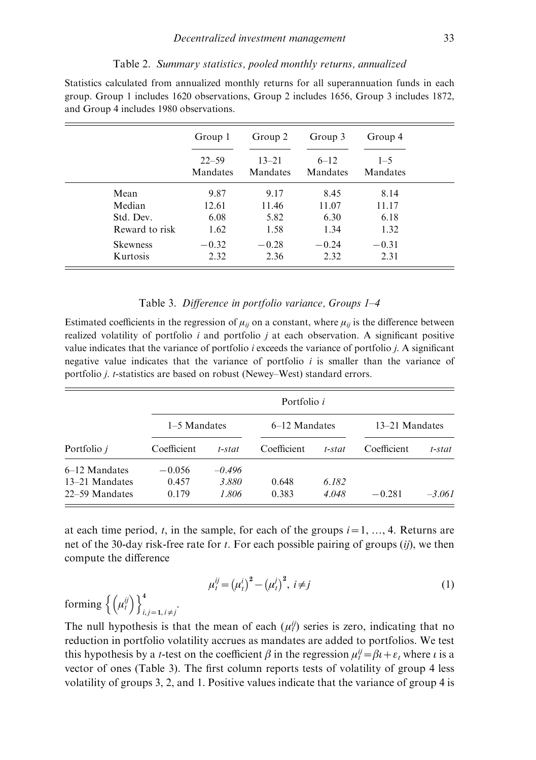|                             | Group 1<br>$22 - 59$<br>Mandates | Group 2<br>$13 - 21$<br>Mandates | Group 3<br>$6 - 12$<br>Mandates | Group 4<br>$1 - 5$<br>Mandates |
|-----------------------------|----------------------------------|----------------------------------|---------------------------------|--------------------------------|
| Mean                        | 9.87                             | 9.17                             | 8.45                            | 8.14                           |
| Median                      | 12.61                            | 11.46                            | 11.07                           | 11.17                          |
| Std. Dev.                   | 6.08                             | 5.82                             | 6.30                            | 6.18                           |
| Reward to risk              | 1.62                             | 1.58                             | 1.34                            | 1.32                           |
| <b>Skewness</b><br>Kurtosis | $-0.32$<br>2.32                  | $-0.28$<br>2.36                  | $-0.24$<br>2.32                 | $-0.31$<br>2.31                |

Statistics calculated from annualized monthly returns for all superannuation funds in each group. Group 1 includes 1620 observations, Group 2 includes 1656, Group 3 includes 1872, and Group 4 includes 1980 observations.

# Table 3. Difference in portfolio variance, Groups 1–4

Estimated coefficients in the regression of  $\mu_{ii}$  on a constant, where  $\mu_{ii}$  is the difference between realized volatility of portfolio  $i$  and portfolio  $j$  at each observation. A significant positive value indicates that the variance of portfolio  $i$  exceeds the variance of portfolio  $j$ . A significant negative value indicates that the variance of portfolio  $i$  is smaller than the variance of portfolio j. t-statistics are based on robust (Newey–West) standard errors.

|                                                   |                            |                            | Portfolio <i>i</i> |                |                |          |
|---------------------------------------------------|----------------------------|----------------------------|--------------------|----------------|----------------|----------|
|                                                   | 1–5 Mandates               |                            | 6–12 Mandates      |                | 13–21 Mandates |          |
| Portfolio <i>i</i>                                | Coefficient                | $t$ -stat                  | Coefficient        | $t$ -stat      | Coefficient    | t-stat   |
| 6–12 Mandates<br>13–21 Mandates<br>22–59 Mandates | $-0.056$<br>0.457<br>0.179 | $-0.496$<br>3.880<br>1.806 | 0.648<br>0.383     | 6.182<br>4.048 | $-0.281$       | $-3.061$ |

at each time period, t, in the sample, for each of the groups  $i=1, ..., 4$ . Returns are net of the 30-day risk-free rate for t. For each possible pairing of groups  $(ii)$ , we then compute the difference

$$
\mu_t^{ij} = (\mu_t^i)^2 - (\mu_t^j)^2, \ i \neq j
$$
 (1)

forming  $\big\{ \big( \mu_t^{ij} \big)$  $(1 + i\lambda)^4$  $i,j=1, i\neq j$ .

The null hypothesis is that the mean of each  $(\mu_i^{\mathcal{Y}})$  series is zero, indicating that no reduction in portfolio volatility accrues as mandates are added to portfolios. We test this hypothesis by a *t*-test on the coefficient  $\beta$  in the regression  $\mu_i^{\mathcal{U}} = \beta \mathcal{U} + \varepsilon_t$  where  $\mathcal{U}$  is a vector of ones (Table 3). The first column reports tests of volatility of group 4 less volatility of groups 3, 2, and 1. Positive values indicate that the variance of group 4 is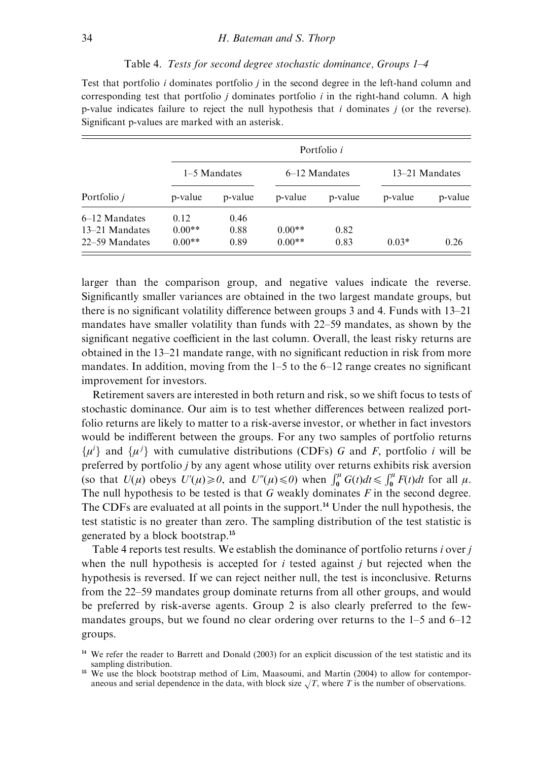Table 4. Tests for second degree stochastic dominance, Groups 1–4

Test that portfolio i dominates portfolio j in the second degree in the left-hand column and corresponding test that portfolio  $i$  dominates portfolio  $i$  in the right-hand column. A high p-value indicates failure to reject the null hypothesis that  $i$  dominates  $j$  (or the reverse). Significant p-values are marked with an asterisk.

|                                                   |                              |                      |                      | Portfolio <i>i</i> |         |                |
|---------------------------------------------------|------------------------------|----------------------|----------------------|--------------------|---------|----------------|
|                                                   |                              | 1–5 Mandates         |                      | 6–12 Mandates      |         | 13–21 Mandates |
| Portfolio <i>i</i>                                | p-value                      | p-value              | p-value              | p-value            | p-value | p-value        |
| 6–12 Mandates<br>13–21 Mandates<br>22–59 Mandates | 0.12<br>$0.00**$<br>$0.00**$ | 0.46<br>0.88<br>0.89 | $0.00**$<br>$0.00**$ | 0.82<br>0.83       | $0.03*$ | 0.26           |

larger than the comparison group, and negative values indicate the reverse. Significantly smaller variances are obtained in the two largest mandate groups, but there is no significant volatility difference between groups 3 and 4. Funds with 13–21 mandates have smaller volatility than funds with 22–59 mandates, as shown by the significant negative coefficient in the last column. Overall, the least risky returns are obtained in the 13–21 mandate range, with no significant reduction in risk from more mandates. In addition, moving from the  $1-5$  to the  $6-12$  range creates no significant improvement for investors.

Retirement savers are interested in both return and risk, so we shift focus to tests of stochastic dominance. Our aim is to test whether differences between realized portfolio returns are likely to matter to a risk-averse investor, or whether in fact investors would be indifferent between the groups. For any two samples of portfolio returns  $\{\mu^{i}\}\$  and  $\{\mu^{j}\}\$  with cumulative distributions (CDFs) G and F, portfolio i will be preferred by portfolio j by any agent whose utility over returns exhibits risk aversion (so that  $U(\mu)$  obeys  $U'(\mu) \ge 0$ , and  $U''(\mu) \le 0$ ) when  $\int_0^{\mu} G(t) dt \le \int_0^{\mu} F(t) dt$  for all  $\mu$ . The null hypothesis to be tested is that  $G$  weakly dominates  $F$  in the second degree. The CDFs are evaluated at all points in the support.<sup>14</sup> Under the null hypothesis, the test statistic is no greater than zero. The sampling distribution of the test statistic is generated by a block bootstrap.<sup>15</sup>

Table 4 reports test results. We establish the dominance of portfolio returns *i* over *j* when the null hypothesis is accepted for  $i$  tested against  $j$  but rejected when the hypothesis is reversed. If we can reject neither null, the test is inconclusive. Returns from the 22–59 mandates group dominate returns from all other groups, and would be preferred by risk-averse agents. Group 2 is also clearly preferred to the fewmandates groups, but we found no clear ordering over returns to the  $1-5$  and  $6-12$ groups.

<sup>&</sup>lt;sup>14</sup> We refer the reader to Barrett and Donald (2003) for an explicit discussion of the test statistic and its sampling distribution.

<sup>&</sup>lt;sup>15</sup> We use the block bootstrap method of Lim, Maasoumi, and Martin (2004) to allow for contemporaneous and serial dependence in the data, with block size  $\sqrt{T}$ , where T is the number of observations.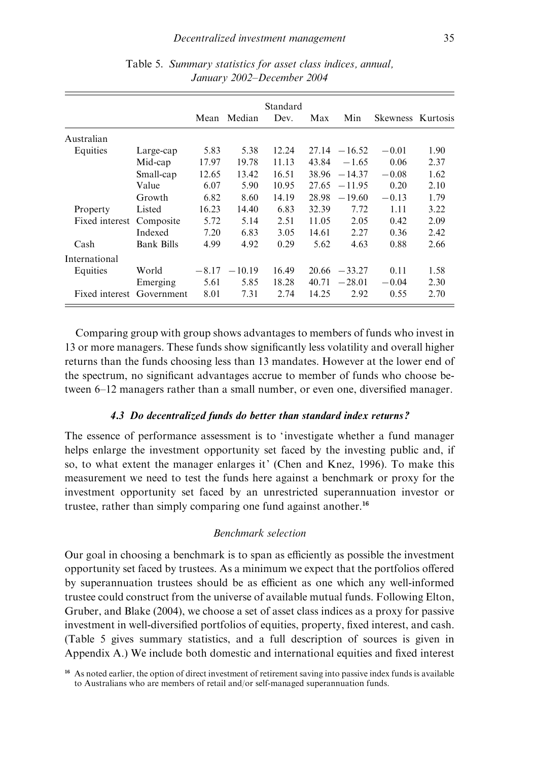|                           |            | Mean    | Median   | Standard<br>Dev. | Max   | Min      | Skewness Kurtosis |      |
|---------------------------|------------|---------|----------|------------------|-------|----------|-------------------|------|
| Australian                |            |         |          |                  |       |          |                   |      |
| Equities                  | Large-cap  | 5.83    | 5.38     | 12.24            | 27.14 | $-16.52$ | $-0.01$           | 1.90 |
|                           | Mid-cap    | 17.97   | 19.78    | 11.13            | 43.84 | $-1.65$  | 0.06              | 2.37 |
|                           | Small-cap  | 12.65   | 13.42    | 16.51            | 38.96 | $-14.37$ | $-0.08$           | 1.62 |
|                           | Value      | 6.07    | 5.90     | 10.95            | 27.65 | $-11.95$ | 0.20              | 2.10 |
|                           | Growth     | 6.82    | 8.60     | 14.19            | 28.98 | $-19.60$ | $-0.13$           | 1.79 |
| Property                  | Listed     | 16.23   | 14.40    | 6.83             | 32.39 | 7.72     | 1.11              | 3.22 |
| Fixed interest            | Composite  | 5.72    | 5.14     | 2.51             | 11.05 | 2.05     | 0.42              | 2.09 |
|                           | Indexed    | 7.20    | 6.83     | 3.05             | 14.61 | 2.27     | 0.36              | 2.42 |
| Cash                      | Bank Bills | 4.99    | 4.92     | 0.29             | 5.62  | 4.63     | 0.88              | 2.66 |
| International             |            |         |          |                  |       |          |                   |      |
| Equities                  | World      | $-8.17$ | $-10.19$ | 16.49            | 20.66 | $-33.27$ | 0.11              | 1.58 |
|                           | Emerging   | 5.61    | 5.85     | 18.28            | 40.71 | $-28.01$ | $-0.04$           | 2.30 |
| Fixed interest Government |            | 8.01    | 7.31     | 2.74             | 14.25 | 2.92     | 0.55              | 2.70 |

Table 5. Summary statistics for asset class indices, annual, January 2002–December 2004

Comparing group with group shows advantages to members of funds who invest in 13 or more managers. These funds show significantly less volatility and overall higher returns than the funds choosing less than 13 mandates. However at the lower end of the spectrum, no significant advantages accrue to member of funds who choose between 6–12 managers rather than a small number, or even one, diversified manager.

#### 4.3 Do decentralized funds do better than standard index returns ?

The essence of performance assessment is to 'investigate whether a fund manager helps enlarge the investment opportunity set faced by the investing public and, if so, to what extent the manager enlarges it' (Chen and Knez, 1996). To make this measurement we need to test the funds here against a benchmark or proxy for the investment opportunity set faced by an unrestricted superannuation investor or trustee, rather than simply comparing one fund against another.<sup>16</sup>

# Benchmark selection

Our goal in choosing a benchmark is to span as efficiently as possible the investment opportunity set faced by trustees. As a minimum we expect that the portfolios offered by superannuation trustees should be as efficient as one which any well-informed trustee could construct from the universe of available mutual funds. Following Elton, Gruber, and Blake (2004), we choose a set of asset class indices as a proxy for passive investment in well-diversified portfolios of equities, property, fixed interest, and cash. (Table 5 gives summary statistics, and a full description of sources is given in Appendix A.) We include both domestic and international equities and fixed interest

<sup>&</sup>lt;sup>16</sup> As noted earlier, the option of direct investment of retirement saving into passive index funds is available to Australians who are members of retail and/or self-managed superannuation funds.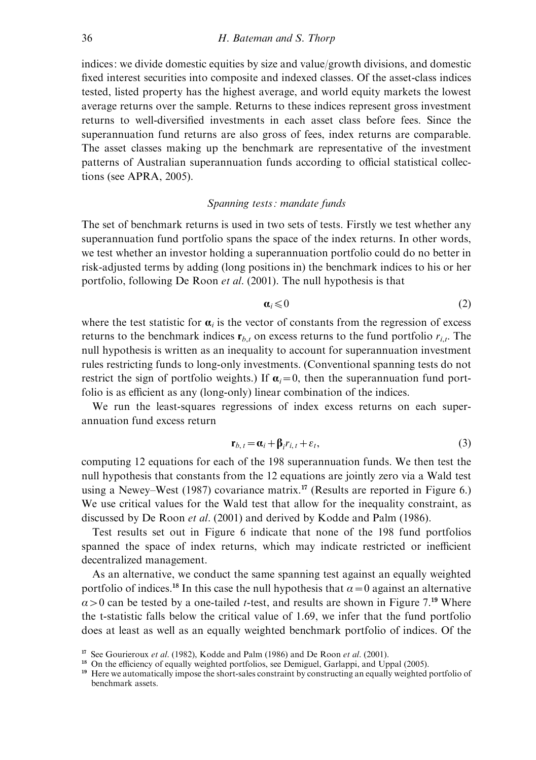indices: we divide domestic equities by size and value/growth divisions, and domestic fixed interest securities into composite and indexed classes. Of the asset-class indices tested, listed property has the highest average, and world equity markets the lowest average returns over the sample. Returns to these indices represent gross investment returns to well-diversified investments in each asset class before fees. Since the superannuation fund returns are also gross of fees, index returns are comparable. The asset classes making up the benchmark are representative of the investment patterns of Australian superannuation funds according to official statistical collections (see APRA, 2005).

## Spanning tests : mandate funds

The set of benchmark returns is used in two sets of tests. Firstly we test whether any superannuation fund portfolio spans the space of the index returns. In other words, we test whether an investor holding a superannuation portfolio could do no better in risk-adjusted terms by adding (long positions in) the benchmark indices to his or her portfolio, following De Roon et al. (2001). The null hypothesis is that

$$
\boldsymbol{\alpha}_i \leq 0 \tag{2}
$$

where the test statistic for  $\alpha_i$  is the vector of constants from the regression of excess returns to the benchmark indices  $\mathbf{r}_{b,t}$  on excess returns to the fund portfolio  $r_{i,t}$ . The null hypothesis is written as an inequality to account for superannuation investment rules restricting funds to long-only investments. (Conventional spanning tests do not restrict the sign of portfolio weights.) If  $\alpha_i=0$ , then the superannuation fund portfolio is as efficient as any (long-only) linear combination of the indices.

We run the least-squares regressions of index excess returns on each superannuation fund excess return

$$
\mathbf{r}_{b,t} = \mathbf{\alpha}_i + \mathbf{\beta}_i r_{i,t} + \varepsilon_t, \tag{3}
$$

computing 12 equations for each of the 198 superannuation funds. We then test the null hypothesis that constants from the 12 equations are jointly zero via a Wald test using a Newey–West (1987) covariance matrix.<sup>17</sup> (Results are reported in Figure 6.) We use critical values for the Wald test that allow for the inequality constraint, as discussed by De Roon et al. (2001) and derived by Kodde and Palm (1986).

Test results set out in Figure 6 indicate that none of the 198 fund portfolios spanned the space of index returns, which may indicate restricted or inefficient decentralized management.

As an alternative, we conduct the same spanning test against an equally weighted portfolio of indices.<sup>18</sup> In this case the null hypothesis that  $\alpha = 0$  against an alternative  $\alpha > 0$  can be tested by a one-tailed *t*-test, and results are shown in Figure 7.<sup>19</sup> Where the t-statistic falls below the critical value of 1.69, we infer that the fund portfolio does at least as well as an equally weighted benchmark portfolio of indices. Of the

<sup>&</sup>lt;sup>17</sup> See Gourieroux et al. (1982), Kodde and Palm (1986) and De Roon et al. (2001).

<sup>&</sup>lt;sup>18</sup> On the efficiency of equally weighted portfolios, see Demiguel, Garlappi, and Uppal (2005).

<sup>&</sup>lt;sup>19</sup> Here we automatically impose the short-sales constraint by constructing an equally weighted portfolio of benchmark assets.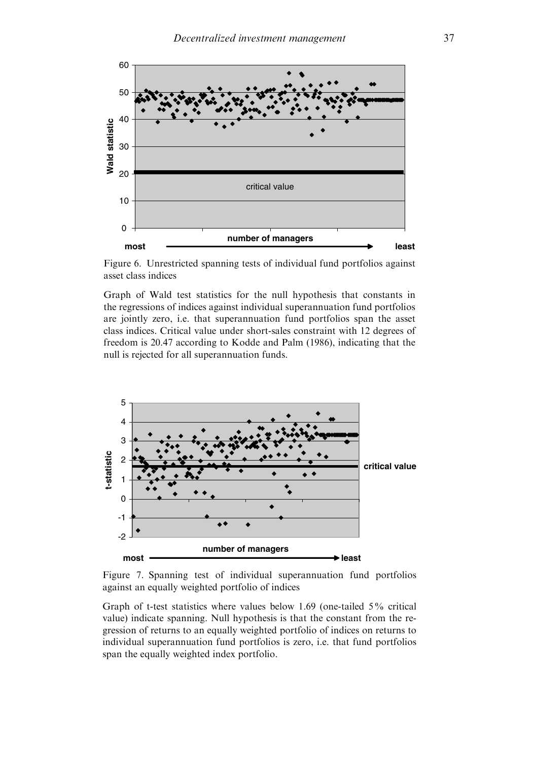

Figure 6. Unrestricted spanning tests of individual fund portfolios against asset class indices

Graph of Wald test statistics for the null hypothesis that constants in the regressions of indices against individual superannuation fund portfolios are jointly zero, i.e. that superannuation fund portfolios span the asset class indices. Critical value under short-sales constraint with 12 degrees of freedom is 20.47 according to Kodde and Palm (1986), indicating that the null is rejected for all superannuation funds.



Figure 7. Spanning test of individual superannuation fund portfolios against an equally weighted portfolio of indices

Graph of t-test statistics where values below 1.69 (one-tailed 5% critical value) indicate spanning. Null hypothesis is that the constant from the regression of returns to an equally weighted portfolio of indices on returns to individual superannuation fund portfolios is zero, i.e. that fund portfolios span the equally weighted index portfolio.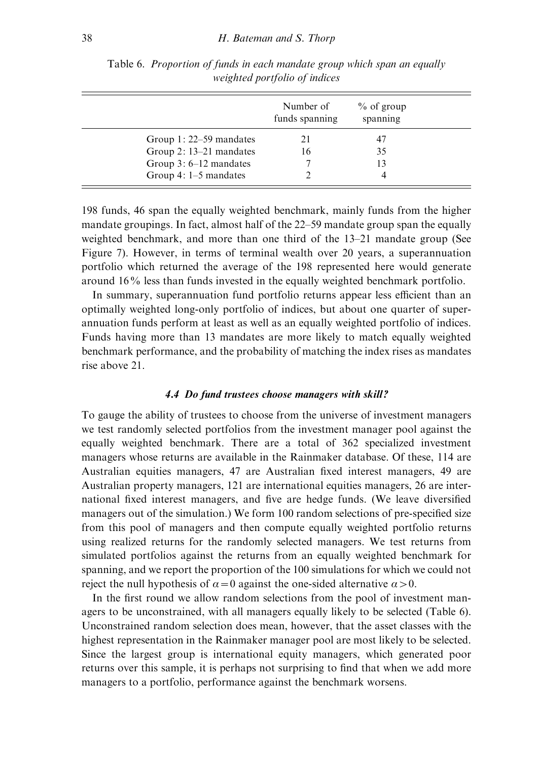|                           | Number of<br>funds spanning | $\%$ of group<br>spanning |  |
|---------------------------|-----------------------------|---------------------------|--|
| Group 1: $22-59$ mandates |                             | 47                        |  |
| Group $2: 13-21$ mandates | 16                          | 35                        |  |
| Group $3:6-12$ mandates   |                             | 13                        |  |
| Group $4:1-5$ mandates    |                             |                           |  |

Table 6. Proportion of funds in each mandate group which span an equally weighted portfolio of indices

198 funds, 46 span the equally weighted benchmark, mainly funds from the higher mandate groupings. In fact, almost half of the 22–59 mandate group span the equally weighted benchmark, and more than one third of the 13–21 mandate group (See Figure 7). However, in terms of terminal wealth over 20 years, a superannuation portfolio which returned the average of the 198 represented here would generate around 16% less than funds invested in the equally weighted benchmark portfolio.

In summary, superannuation fund portfolio returns appear less efficient than an optimally weighted long-only portfolio of indices, but about one quarter of superannuation funds perform at least as well as an equally weighted portfolio of indices. Funds having more than 13 mandates are more likely to match equally weighted benchmark performance, and the probability of matching the index rises as mandates rise above 21.

# 4.4 Do fund trustees choose managers with skill?

To gauge the ability of trustees to choose from the universe of investment managers we test randomly selected portfolios from the investment manager pool against the equally weighted benchmark. There are a total of 362 specialized investment managers whose returns are available in the Rainmaker database. Of these, 114 are Australian equities managers, 47 are Australian fixed interest managers, 49 are Australian property managers, 121 are international equities managers, 26 are international fixed interest managers, and five are hedge funds. (We leave diversified managers out of the simulation.) We form 100 random selections of pre-specified size from this pool of managers and then compute equally weighted portfolio returns using realized returns for the randomly selected managers. We test returns from simulated portfolios against the returns from an equally weighted benchmark for spanning, and we report the proportion of the 100 simulations for which we could not reject the null hypothesis of  $\alpha = 0$  against the one-sided alternative  $\alpha > 0$ .

In the first round we allow random selections from the pool of investment managers to be unconstrained, with all managers equally likely to be selected (Table 6). Unconstrained random selection does mean, however, that the asset classes with the highest representation in the Rainmaker manager pool are most likely to be selected. Since the largest group is international equity managers, which generated poor returns over this sample, it is perhaps not surprising to find that when we add more managers to a portfolio, performance against the benchmark worsens.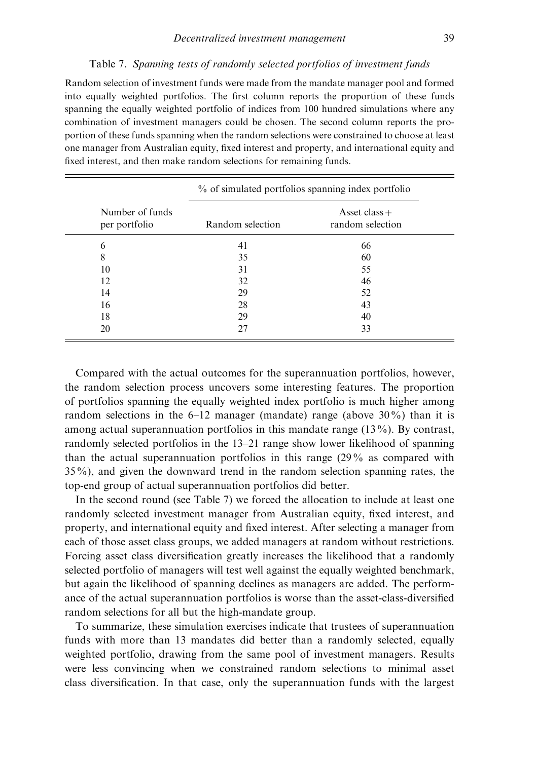#### Table 7. Spanning tests of randomly selected portfolios of investment funds

Random selection of investment funds were made from the mandate manager pool and formed into equally weighted portfolios. The first column reports the proportion of these funds spanning the equally weighted portfolio of indices from 100 hundred simulations where any combination of investment managers could be chosen. The second column reports the proportion of these funds spanning when the random selections were constrained to choose at least one manager from Australian equity, fixed interest and property, and international equity and fixed interest, and then make random selections for remaining funds.

|                                  | % of simulated portfolios spanning index portfolio |                                     |  |  |  |
|----------------------------------|----------------------------------------------------|-------------------------------------|--|--|--|
| Number of funds<br>per portfolio | Random selection                                   | Asset class $+$<br>random selection |  |  |  |
| 6                                | 41                                                 | 66                                  |  |  |  |
| 8                                | 35                                                 | 60                                  |  |  |  |
| 10                               | 31                                                 | 55                                  |  |  |  |
| 12                               | 32                                                 | 46                                  |  |  |  |
| 14                               | 29                                                 | 52                                  |  |  |  |
| 16                               | 28                                                 | 43                                  |  |  |  |
| 18                               | 29                                                 | 40                                  |  |  |  |
| 20                               | 27                                                 | 33                                  |  |  |  |

Compared with the actual outcomes for the superannuation portfolios, however, the random selection process uncovers some interesting features. The proportion of portfolios spanning the equally weighted index portfolio is much higher among random selections in the  $6-12$  manager (mandate) range (above  $30\%$ ) than it is among actual superannuation portfolios in this mandate range (13%). By contrast, randomly selected portfolios in the 13–21 range show lower likelihood of spanning than the actual superannuation portfolios in this range (29% as compared with 35%), and given the downward trend in the random selection spanning rates, the top-end group of actual superannuation portfolios did better.

In the second round (see Table 7) we forced the allocation to include at least one randomly selected investment manager from Australian equity, fixed interest, and property, and international equity and fixed interest. After selecting a manager from each of those asset class groups, we added managers at random without restrictions. Forcing asset class diversification greatly increases the likelihood that a randomly selected portfolio of managers will test well against the equally weighted benchmark, but again the likelihood of spanning declines as managers are added. The performance of the actual superannuation portfolios is worse than the asset-class-diversified random selections for all but the high-mandate group.

To summarize, these simulation exercises indicate that trustees of superannuation funds with more than 13 mandates did better than a randomly selected, equally weighted portfolio, drawing from the same pool of investment managers. Results were less convincing when we constrained random selections to minimal asset class diversification. In that case, only the superannuation funds with the largest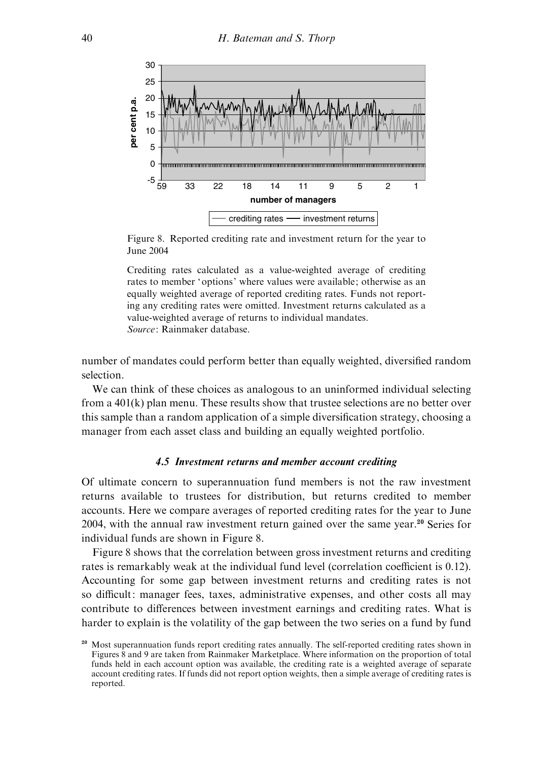

Figure 8. Reported crediting rate and investment return for the year to June 2004

Crediting rates calculated as a value-weighted average of crediting rates to member 'options' where values were available; otherwise as an equally weighted average of reported crediting rates. Funds not reporting any crediting rates were omitted. Investment returns calculated as a value-weighted average of returns to individual mandates. Source: Rainmaker database.

number of mandates could perform better than equally weighted, diversified random selection.

We can think of these choices as analogous to an uninformed individual selecting from a 401(k) plan menu. These results show that trustee selections are no better over this sample than a random application of a simple diversification strategy, choosing a manager from each asset class and building an equally weighted portfolio.

# 4.5 Investment returns and member account crediting

Of ultimate concern to superannuation fund members is not the raw investment returns available to trustees for distribution, but returns credited to member accounts. Here we compare averages of reported crediting rates for the year to June 2004, with the annual raw investment return gained over the same year.<sup>20</sup> Series for individual funds are shown in Figure 8.

Figure 8 shows that the correlation between gross investment returns and crediting rates is remarkably weak at the individual fund level (correlation coefficient is 0.12). Accounting for some gap between investment returns and crediting rates is not so difficult: manager fees, taxes, administrative expenses, and other costs all may contribute to differences between investment earnings and crediting rates. What is harder to explain is the volatility of the gap between the two series on a fund by fund

<sup>&</sup>lt;sup>20</sup> Most superannuation funds report crediting rates annually. The self-reported crediting rates shown in Figures 8 and 9 are taken from Rainmaker Marketplace. Where information on the proportion of total funds held in each account option was available, the crediting rate is a weighted average of separate account crediting rates. If funds did not report option weights, then a simple average of crediting rates is reported.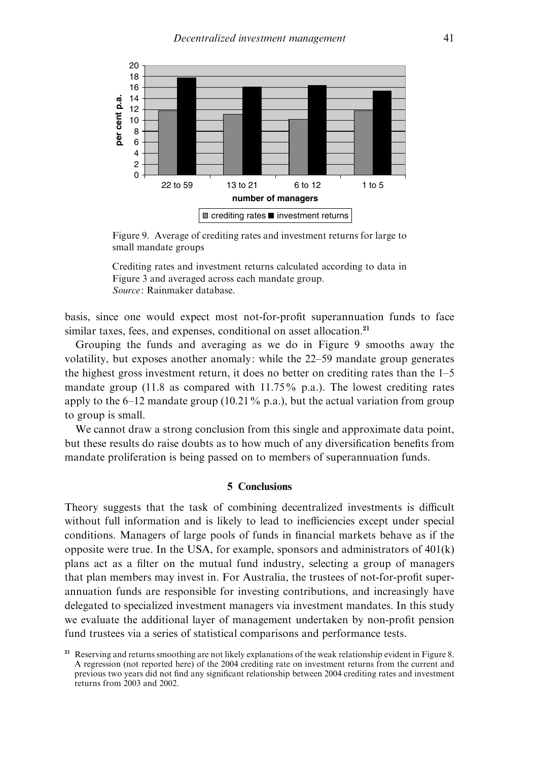

Figure 9. Average of crediting rates and investment returns for large to small mandate groups

Crediting rates and investment returns calculated according to data in Figure 3 and averaged across each mandate group. Source: Rainmaker database.

basis, since one would expect most not-for-profit superannuation funds to face similar taxes, fees, and expenses, conditional on asset allocation.<sup>21</sup>

Grouping the funds and averaging as we do in Figure 9 smooths away the volatility, but exposes another anomaly: while the 22–59 mandate group generates the highest gross investment return, it does no better on crediting rates than the 1–5 mandate group (11.8 as compared with  $11.75\%$  p.a.). The lowest crediting rates apply to the  $6-12$  mandate group (10.21% p.a.), but the actual variation from group to group is small.

We cannot draw a strong conclusion from this single and approximate data point, but these results do raise doubts as to how much of any diversification benefits from mandate proliferation is being passed on to members of superannuation funds.

#### 5 Conclusions

Theory suggests that the task of combining decentralized investments is difficult without full information and is likely to lead to inefficiencies except under special conditions. Managers of large pools of funds in financial markets behave as if the opposite were true. In the USA, for example, sponsors and administrators of  $401(k)$ plans act as a filter on the mutual fund industry, selecting a group of managers that plan members may invest in. For Australia, the trustees of not-for-profit superannuation funds are responsible for investing contributions, and increasingly have delegated to specialized investment managers via investment mandates. In this study we evaluate the additional layer of management undertaken by non-profit pension fund trustees via a series of statistical comparisons and performance tests.

<sup>&</sup>lt;sup>21</sup> Reserving and returns smoothing are not likely explanations of the weak relationship evident in Figure 8. A regression (not reported here) of the 2004 crediting rate on investment returns from the current and previous two years did not find any significant relationship between 2004 crediting rates and investment returns from 2003 and 2002.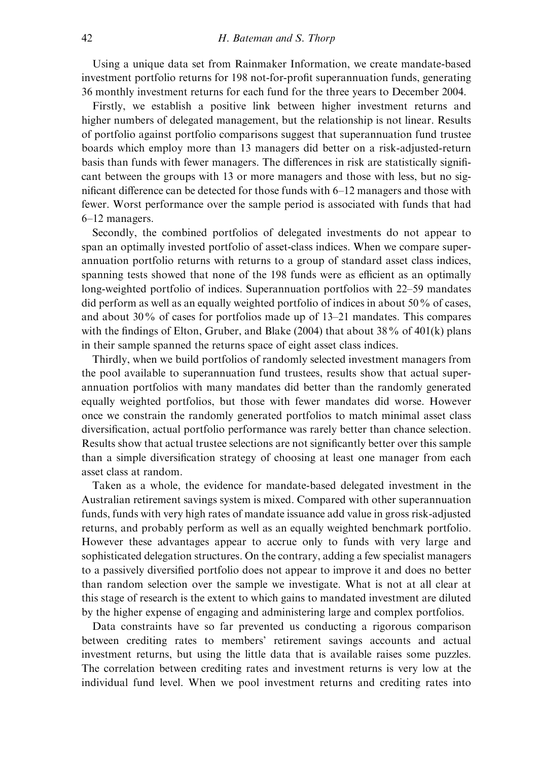Using a unique data set from Rainmaker Information, we create mandate-based investment portfolio returns for 198 not-for-profit superannuation funds, generating 36 monthly investment returns for each fund for the three years to December 2004.

Firstly, we establish a positive link between higher investment returns and higher numbers of delegated management, but the relationship is not linear. Results of portfolio against portfolio comparisons suggest that superannuation fund trustee boards which employ more than 13 managers did better on a risk-adjusted-return basis than funds with fewer managers. The differences in risk are statistically significant between the groups with 13 or more managers and those with less, but no significant difference can be detected for those funds with 6–12 managers and those with fewer. Worst performance over the sample period is associated with funds that had 6–12 managers.

Secondly, the combined portfolios of delegated investments do not appear to span an optimally invested portfolio of asset-class indices. When we compare superannuation portfolio returns with returns to a group of standard asset class indices, spanning tests showed that none of the 198 funds were as efficient as an optimally long-weighted portfolio of indices. Superannuation portfolios with 22–59 mandates did perform as well as an equally weighted portfolio of indices in about 50% of cases, and about 30% of cases for portfolios made up of 13–21 mandates. This compares with the findings of Elton, Gruber, and Blake  $(2004)$  that about 38% of 401 $(k)$  plans in their sample spanned the returns space of eight asset class indices.

Thirdly, when we build portfolios of randomly selected investment managers from the pool available to superannuation fund trustees, results show that actual superannuation portfolios with many mandates did better than the randomly generated equally weighted portfolios, but those with fewer mandates did worse. However once we constrain the randomly generated portfolios to match minimal asset class diversification, actual portfolio performance was rarely better than chance selection. Results show that actual trustee selections are not significantly better over this sample than a simple diversification strategy of choosing at least one manager from each asset class at random.

Taken as a whole, the evidence for mandate-based delegated investment in the Australian retirement savings system is mixed. Compared with other superannuation funds, funds with very high rates of mandate issuance add value in gross risk-adjusted returns, and probably perform as well as an equally weighted benchmark portfolio. However these advantages appear to accrue only to funds with very large and sophisticated delegation structures. On the contrary, adding a few specialist managers to a passively diversified portfolio does not appear to improve it and does no better than random selection over the sample we investigate. What is not at all clear at this stage of research is the extent to which gains to mandated investment are diluted by the higher expense of engaging and administering large and complex portfolios.

Data constraints have so far prevented us conducting a rigorous comparison between crediting rates to members' retirement savings accounts and actual investment returns, but using the little data that is available raises some puzzles. The correlation between crediting rates and investment returns is very low at the individual fund level. When we pool investment returns and crediting rates into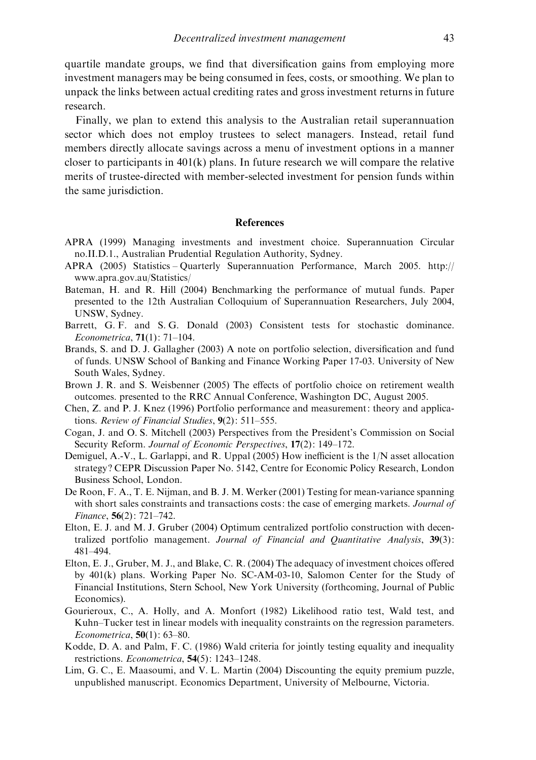quartile mandate groups, we find that diversification gains from employing more investment managers may be being consumed in fees, costs, or smoothing. We plan to unpack the links between actual crediting rates and gross investment returns in future research.

Finally, we plan to extend this analysis to the Australian retail superannuation sector which does not employ trustees to select managers. Instead, retail fund members directly allocate savings across a menu of investment options in a manner closer to participants in  $401(k)$  plans. In future research we will compare the relative merits of trustee-directed with member-selected investment for pension funds within the same jurisdiction.

#### References

- APRA (1999) Managing investments and investment choice. Superannuation Circular no.II.D.1., Australian Prudential Regulation Authority, Sydney.
- APRA (2005) Statistics Quarterly Superannuation Performance, March 2005. http:// www.apra.gov.au/Statistics/
- Bateman, H. and R. Hill (2004) Benchmarking the performance of mutual funds. Paper presented to the 12th Australian Colloquium of Superannuation Researchers, July 2004, UNSW, Sydney.
- Barrett, G. F. and S. G. Donald (2003) Consistent tests for stochastic dominance. Econometrica, 71(1): 71–104.
- Brands, S. and D. J. Gallagher (2003) A note on portfolio selection, diversification and fund of funds. UNSW School of Banking and Finance Working Paper 17-03. University of New South Wales, Sydney.
- Brown J. R. and S. Weisbenner (2005) The effects of portfolio choice on retirement wealth outcomes. presented to the RRC Annual Conference, Washington DC, August 2005.
- Chen, Z. and P. J. Knez (1996) Portfolio performance and measurement: theory and applications. Review of Financial Studies, 9(2): 511-555.
- Cogan, J. and O. S. Mitchell (2003) Perspectives from the President's Commission on Social Security Reform. Journal of Economic Perspectives, 17(2): 149–172.
- Demiguel, A.-V., L. Garlappi, and R. Uppal (2005) How inefficient is the 1/N asset allocation strategy ? CEPR Discussion Paper No. 5142, Centre for Economic Policy Research, London Business School, London.
- De Roon, F. A., T. E. Nijman, and B. J. M. Werker (2001) Testing for mean-variance spanning with short sales constraints and transactions costs: the case of emerging markets. Journal of Finance, 56(2): 721–742.
- Elton, E. J. and M. J. Gruber (2004) Optimum centralized portfolio construction with decentralized portfolio management. Journal of Financial and Quantitative Analysis, 39(3): 481–494.
- Elton, E. J., Gruber, M. J., and Blake, C. R. (2004) The adequacy of investment choices offered by 401(k) plans. Working Paper No. SC-AM-03-10, Salomon Center for the Study of Financial Institutions, Stern School, New York University (forthcoming, Journal of Public Economics).
- Gourieroux, C., A. Holly, and A. Monfort (1982) Likelihood ratio test, Wald test, and Kuhn–Tucker test in linear models with inequality constraints on the regression parameters. Econometrica, 50(1): 63–80.
- Kodde, D. A. and Palm, F. C. (1986) Wald criteria for jointly testing equality and inequality restrictions. Econometrica, 54(5): 1243–1248.
- Lim, G. C., E. Maasoumi, and V. L. Martin (2004) Discounting the equity premium puzzle, unpublished manuscript. Economics Department, University of Melbourne, Victoria.